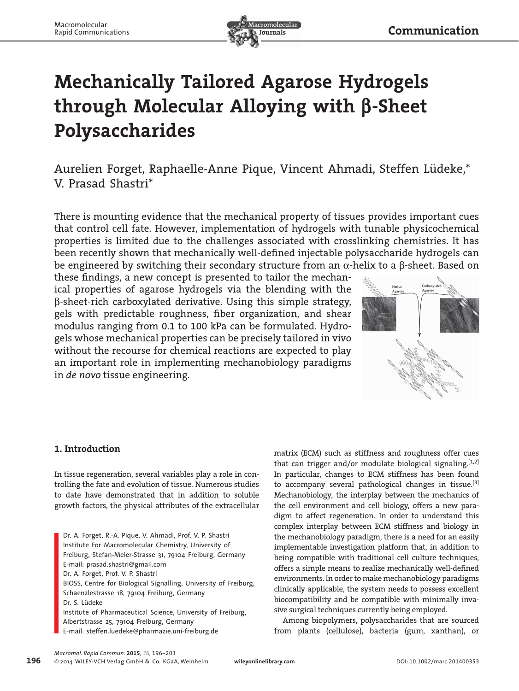

# **Mechanically Tailored Agarose Hydrogels through Molecular Alloying with β-Sheet Polysaccharides**

## Aurelien Forget, Raphaelle-Anne Pique, Vincent Ahmadi, Steffen Lüdeke,\* V. Prasad Shastri\*

 There is mounting evidence that the mechanical property of tissues provides important cues that control cell fate. However, implementation of hydrogels with tunable physicochemical properties is limited due to the challenges associated with crosslinking chemistries. It has been recently shown that mechanically well-defined injectable polysaccharide hydrogels can be engineered by switching their secondary structure from an  $\alpha$ -helix to a  $\beta$ -sheet. Based on

these findings, a new concept is presented to tailor the mechanical properties of agarose hydrogels via the blending with the β-sheet-rich carboxylated derivative. Using this simple strategy, gels with predictable roughness, fiber organization, and shear modulus ranging from 0.1 to 100 kPa can be formulated. Hydrogels whose mechanical properties can be precisely tailored in vivo without the recourse for chemical reactions are expected to play an important role in implementing mechanobiology paradigms in *de novo* tissue engineering.



## **1. Introduction**

 In tissue regeneration, several variables play a role in controlling the fate and evolution of tissue. Numerous studies to date have demonstrated that in addition to soluble growth factors, the physical attributes of the extracellular

 Dr. A. Forget, R.-A. Pique, V. Ahmadi, Prof. V. P. Shastri Institute For Macromolecular Chemistry , University of Freiburg, Stefan-Meier-Strasse 31, 79104 Freiburg, Germany E-mail: prasad.shastri@gmail.com Dr. A. Forget, Prof. V. P. Shastri BIOSS, Centre for Biological Signalling, University of Freiburg, Schaenzlestrasse 18, 79104 Freiburg, Germany Dr. S. Lüdeke Institute of Pharmaceutical Science, University of Freiburg, Albertstrasse 25, 79104 Freiburg, Germany E-mail: steffen.luedeke@pharmazie.uni-freiburg.de

matrix (ECM) such as stiffness and roughness offer cues that can trigger and/or modulate biological signaling.  $[1,2]$ In particular, changes to ECM stiffness has been found to accompany several pathological changes in tissue.<sup>[3]</sup> Me chanobiology *,* the interplay between the mechanics of the cell environment and cell biology, offers a new paradigm to affect regeneration. In order to understand this complex interplay between ECM stiffness and biology in the mechanobiology paradigm, there is a need for an easily implementable investigation platform that, in addition to being compatible with traditional cell culture techniques, offers a simple means to realize mechanically well-defined environments. In order to make mechanobiology paradigms clinically applicable, the system needs to possess excellent biocompatibility and be compatible with minimally invasive surgical techniques currently being employed.

 Among biopolymers, polysaccharides that are sourced from plants (cellulose), bacteria (gum, xanthan), or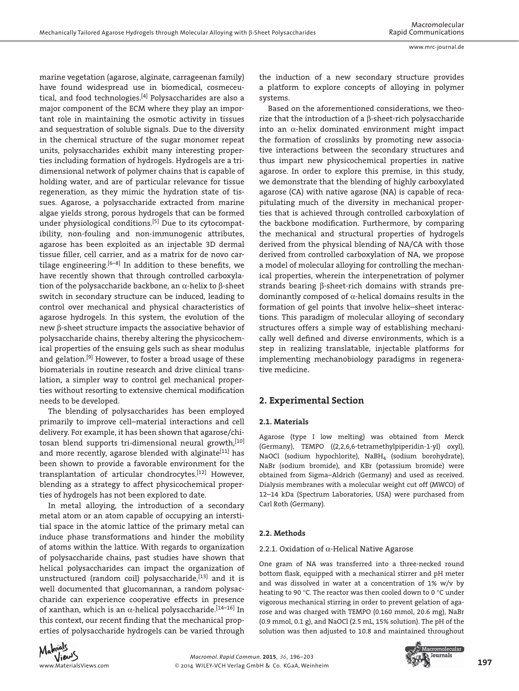marine vegetation (agarose, alginate, carrageenan family) have found widespread use in biomedical, cosmeceutical, and food technologies. $[4]$  Polysaccharides are also a major component of the ECM where they play an important role in maintaining the osmotic activity in tissues and sequestration of soluble signals. Due to the diversity in the chemical structure of the sugar monomer repeat units, polysaccharides exhibit many interesting properties including formation of hydrogels. Hydrogels are a tridimensional network of polymer chains that is capable of holding water, and are of particular relevance for tissue regeneration, as they mimic the hydration state of tissues. Agarose, a polysaccharide extracted from marine algae yields strong, porous hydrogels that can be formed under physiological conditions.<sup>[5]</sup> Due to its cytocompatibility, non-fouling and non-immunogenic attributes, agarose has been exploited as an injectable 3D dermal tissue filler, cell carrier, and as a matrix for de novo cartilage engineering.  $[6-8]$  In addition to these benefits, we have recently shown that through controlled carboxylation of the polysaccharide backbone, an α-helix to β-sheet switch in secondary structure can be induced, leading to control over mechanical and physical characteristics of agarose hydrogels. In this system, the evolution of the new β-sheet structure impacts the associative behavior of polysaccharide chains, thereby altering the physicochemical properties of the ensuing gels such as shear modulus and gelation.<sup>[9]</sup> However, to foster a broad usage of these biomaterials in routine research and drive clinical translation, a simpler way to control gel mechanical properties without resorting to extensive chemical modification needs to be developed.

 The blending of polysaccharides has been employed primarily to improve cell–material interactions and cell delivery. For example, it has been shown that agarose/chitosan blend supports tri-dimensional neural growth, [10] and more recently, agarose blended with alginate<sup>[11]</sup> has been shown to provide a favorable environment for the transplantation of articular chondrocytes.<sup>[12]</sup> However, blending as a strategy to affect physicochemical properties of hydrogels has not been explored to date.

 In metal alloying, the introduction of a secondary metal atom or an atom capable of occupying an interstitial space in the atomic lattice of the primary metal can induce phase transformations and hinder the mobility of atoms within the lattice. With regards to organization of polysaccharide chains, past studies have shown that helical polysaccharides can impact the organization of unstructured (random coil) polysaccharide,  $[13]$  and it is well documented that glucomannan, a random polysaccharide can experience cooperative effects in presence of xanthan, which is an  $\alpha$ -helical polysaccharide.<sup>[14-16]</sup> In this context, our recent finding that the mechanical properties of polysaccharide hydrogels can be varied through



the induction of a new secondary structure provides a platform to explore concepts of alloying in polymer systems. Based on the aforementioned considerations, we theo-

rize that the introduction of a β-sheet-rich polysaccharide into an  $\alpha$ -helix dominated environment might impact the formation of crosslinks by promoting new associative interactions between the secondary structures and thus impart new physicochemical properties in native agarose. In order to explore this premise, in this study, we demonstrate that the blending of highly carboxylated agarose (CA) with native agarose (NA) is capable of recapitulating much of the diversity in mechanical properties that is achieved through controlled carboxylation of the backbone modification. Furthermore, by comparing the mechanical and structural properties of hydrogels derived from the physical blending of NA/CA with those derived from controlled carboxylation of NA, we propose a model of molecular alloying for controlling the mechanical properties, wherein the interpenetration of polymer strands bearing β-sheet-rich domains with strands predominantly composed of  $\alpha$ -helical domains results in the formation of gel points that involve helix–sheet interactions. This paradigm of molecular alloying of secondary structures offers a simple way of establishing mechanically well defined and diverse environments, which is a step in realizing translatable, injectable platforms for implementing mechanobiology paradigms in regenerative medicine.

#### **2. Experimental Section**

#### **2.1. Materials**

 Agarose (type I low melting) was obtained from Merck (Germany), TEMPO ((2,2,6,6-tetramethylpiperidin-1-yl) oxyl), NaOCl (sodium hypochlorite), NaBH<sub>4</sub> (sodium borohydrate), NaBr (sodium bromide), and KBr (potassium bromide) were obtained from Sigma–Aldrich (Germany) and used as received. Dialysis membranes with a molecular weight cut off (MWCO) of 12–14 kDa (Spectrum Laboratories, USA) were purchased from Carl Roth (Germany).

#### **2.2. Methods**

#### 2.2.1. Oxidation of α-Helical Native Agarose

 One gram of NA was transferred into a three-necked round bottom flask, equipped with a mechanical stirrer and pH meter and was dissolved in water at a concentration of 1% w/v by heating to 90 °C. The reactor was then cooled down to 0 °C under vigorous mechanical stirring in order to prevent gelation of agarose and was charged with TEMPO (0.160 mmol, 20.6 mg), NaBr (0.9 mmol, 0.1 g), and NaOCl (2.5 mL, 15% solution). The pH of the solution was then adjusted to 10.8 and maintained throughout

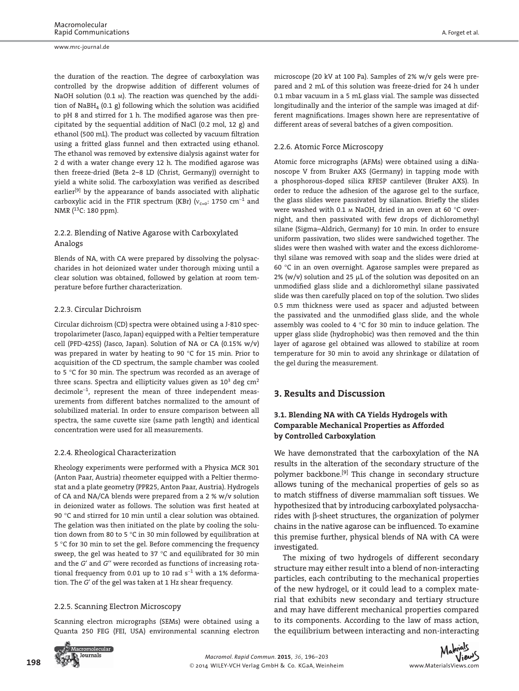www.mrc-journal.de

the duration of the reaction. The degree of carboxylation was controlled by the dropwise addition of different volumes of NaOH solution (0.1  $\text{M}$ ). The reaction was quenched by the addition of NaBH<sub>4</sub> (0.1 g) following which the solution was acidified to pH 8 and stirred for 1 h. The modified agarose was then precipitated by the sequential addition of NaCl (0.2 mol, 12 g) and ethanol (500 mL). The product was collected by vacuum filtration using a fritted glass funnel and then extracted using ethanol. The ethanol was removed by extensive dialysis against water for 2 d with a water change every 12 h. The modified agarose was then freeze-dried (Beta 2–8 LD (Christ, Germany)) overnight to yield a white solid. The carboxylation was verified as described earlier<sup>[9]</sup> by the appearance of bands associated with aliphatic carboxylic acid in the FTIR spectrum (KBr) ( $v_{c=0}$ : 1750 cm<sup>-1</sup> and NMR (13C: 180 ppm).

#### 2.2.2. Blending of Native Agarose with Carboxylated Analogs

 Blends of NA, with CA were prepared by dissolving the polysaccharides in hot deionized water under thorough mixing until a clear solution was obtained, followed by gelation at room temperature before further characterization.

#### 2.2.3. Circular Dichroism

 Circular dichroism (CD) spectra were obtained using a J-810 spectropolarimeter (Jasco, Japan) equipped with a Peltier temperature cell (PFD-425S) (Jasco, Japan). Solution of NA or CA (0.15% w/v) was prepared in water by heating to 90 °C for 15 min. Prior to acquisition of the CD spectrum, the sample chamber was cooled to 5 °C for 30 min. The spectrum was recorded as an average of three scans. Spectra and ellipticity values given as  $10^3$  deg cm<sup>2</sup> decimole<sup>-1</sup>, represent the mean of three independent measurements from different batches normalized to the amount of solubilized material. In order to ensure comparison between all spectra, the same cuvette size (same path length) and identical concentration were used for all measurements.

#### 2.2.4. Rheological Characterization

 Rheology experiments were performed with a Physica MCR 301 (Anton Paar, Austria) rheometer equipped with a Peltier thermostat and a plate geometry (PPR25, Anton Paar, Austria). Hydrogels of CA and NA/CA blends were prepared from a 2 % w/v solution in deionized water as follows. The solution was first heated at 90 °C and stirred for 10 min until a clear solution was obtained. The gelation was then initiated on the plate by cooling the solution down from 80 to 5 °C in 30 min followed by equilibration at 5 °C for 30 min to set the gel. Before commencing the frequency sweep, the gel was heated to 37 °C and equilibrated for 30 min and the *G*′ and *G*′′ were recorded as functions of increasing rotational frequency from 0.01 up to 10 rad  $s^{-1}$  with a 1% deformation. The *G*′ of the gel was taken at 1 Hz shear frequency.

#### 2.2.5. Scanning Electron Microscopy

 Scanning electron micrographs (SEMs) were obtained using a Quanta 250 FEG (FEI, USA) environmental scanning electron microscope (20 kV at 100 Pa). Samples of 2% w/v gels were prepared and 2 mL of this solution was freeze-dried for 24 h under 0.1 mbar vacuum in a 5 mL glass vial. The sample was dissected longitudinally and the interior of the sample was imaged at different magnifications. Images shown here are representative of different areas of several batches of a given composition.

#### 2.2.6. Atomic Force Microscopy

 Atomic force micrographs (AFMs) were obtained using a diNanoscope V from Bruker AXS (Germany) in tapping mode with a phosphorous-doped silica RFESP cantilever (Bruker AXS). In order to reduce the adhesion of the agarose gel to the surface, the glass slides were passivated by silanation. Briefly the slides were washed with 0.1  $\text{M}$  NaOH, dried in an oven at 60 °C overnight, and then passivated with few drops of dichloromethyl silane (Sigma–Aldrich, Germany) for 10 min. In order to ensure uniform passivation, two slides were sandwiched together. The slides were then washed with water and the excess dichloromethyl silane was removed with soap and the slides were dried at 60 °C in an oven overnight. Agarose samples were prepared as 2% (w/v) solution and 25  $\mu$ L of the solution was deposited on an unmodified glass slide and a dichloromethyl silane passivated slide was then carefully placed on top of the solution. Two slides 0.5 mm thickness were used as spacer and adjusted between the passivated and the unmodified glass slide, and the whole assembly was cooled to 4 °C for 30 min to induce gelation. The upper glass slide (hydrophobic) was then removed and the thin layer of agarose gel obtained was allowed to stabilize at room temperature for 30 min to avoid any shrinkage or dilatation of the gel during the measurement.

## **3. Results and Discussion**

#### **3.1. Blending NA with CA Yields Hydrogels with Comparable Mechanical Properties as Afforded by Controlled Carboxylation**

 We have demonstrated that the carboxylation of the NA results in the alteration of the secondary structure of the polymer backbone.<sup>[9]</sup> This change in secondary structure allows tuning of the mechanical properties of gels so as to match stiffness of diverse mammalian soft tissues. We hypothesized that by introducing carboxylated polysaccharides with β-sheet structures, the organization of polymer chains in the native agarose can be influenced. To examine this premise further, physical blends of NA with CA were investigated.

 The mixing of two hydrogels of different secondary structure may either result into a blend of non-interacting particles, each contributing to the mechanical properties of the new hydrogel, or it could lead to a complex material that exhibits new secondary and tertiary structure and may have different mechanical properties compared to its components. According to the law of mass action, the equilibrium between interacting and non-interacting



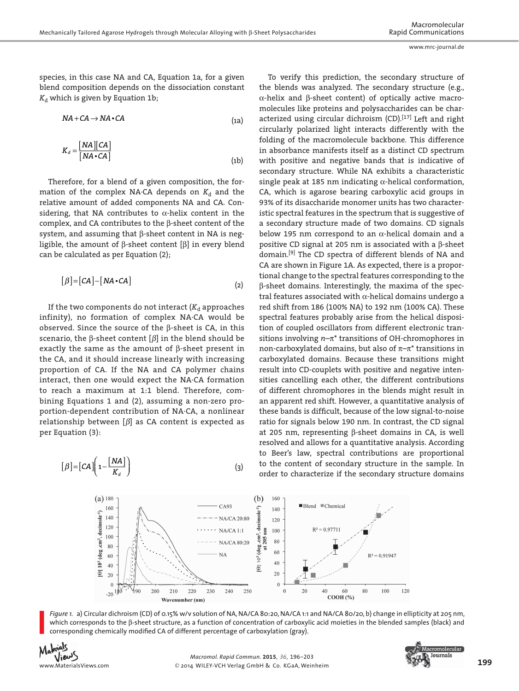species, in this case NA and CA, Equation 1a, for a given blend composition depends on the dissociation constant  $K_d$  which is given by Equation 1b;

$$
NA + CA \rightarrow NA \cdot CA \tag{1a}
$$

$$
K_d = \frac{[NA][CA]}{[NA \cdot CA]}
$$
 (1b)

Therefore, for a blend of a given composition, the formation of the complex NA·CA depends on  $K_d$  and the relative amount of added components NA and CA. Considering, that NA contributes to  $\alpha$ -helix content in the complex, and CA contributes to the β-sheet content of the system, and assuming that β-sheet content in NA is negligible, the amount of β-sheet content [β] in every blend can be calculated as per Equation (2);

$$
[\beta] = [CA] - [NA \cdot CA]
$$
 (2)

If the two components do not interact  $(K_d)$  approaches infinity), no formation of complex NA·CA would be observed. Since the source of the β-sheet is CA, in this scenario, the  $\beta$ -sheet content  $[\beta]$  in the blend should be exactly the same as the amount of β-sheet present in the CA, and it should increase linearly with increasing proportion of CA. If the NA and CA polymer chains interact, then one would expect the NA·CA formation to reach a maximum at 1:1 blend. Therefore, combining Equations 1 and (2), assuming a non-zero proportion-dependent contribution of NA·CA, a nonlinear relationship between  $[\beta]$  as CA content is expected as per Equation (3):

$$
[\beta] = [CA] \left( 1 - \frac{[NA]}{K_d} \right) \tag{3}
$$

 To verify this prediction, the secondary structure of the blends was analyzed. The secondary structure (e.g., α-helix and β-sheet content) of optically active macromolecules like proteins and polysaccharides can be characterized using circular dichroism  $(CD)$ .  $[17]$  Left and right circularly polarized light interacts differently with the folding of the macromolecule backbone. This difference in absorbance manifests itself as a distinct CD spectrum with positive and negative bands that is indicative of secondary structure. While NA exhibits a characteristic single peak at 185 nm indicating  $\alpha$ -helical conformation, CA, which is agarose bearing carboxylic acid groups in 93% of its disaccharide monomer units has two characteristic spectral features in the spectrum that is suggestive of a secondary structure made of two domains. CD signals below 195 nm correspond to an  $\alpha$ -helical domain and a positive CD signal at 205 nm is associated with a β-sheet domain.<sup>[9]</sup> The CD spectra of different blends of NA and CA are shown in Figure 1A. As expected, there is a proportional change to the spectral features corresponding to the β-sheet domains. Interestingly, the maxima of the spectral features associated with α-helical domains undergo a red shift from 186 (100% NA) to 192 nm (100% CA). These spectral features probably arise from the helical disposition of coupled oscillators from different electronic transitions involving *n* –π\* transitions of OH-chromophores in non-carboxylated domains, but also of  $\pi-\pi^*$  transitions in carboxylated domains. Because these transitions might result into CD-couplets with positive and negative intensities cancelling each other, the different contributions of different chromophores in the blends might result in an apparent red shift. However, a quantitative analysis of these bands is difficult, because of the low signal-to-noise ratio for signals below 190 nm. In contrast, the CD signal at 205 nm, representing β-sheet domains in CA, is well resolved and allows for a quantitative analysis. According to Beer's law, spectral contributions are proportional to the content of secondary structure in the sample. In order to characterize if the secondary structure domains





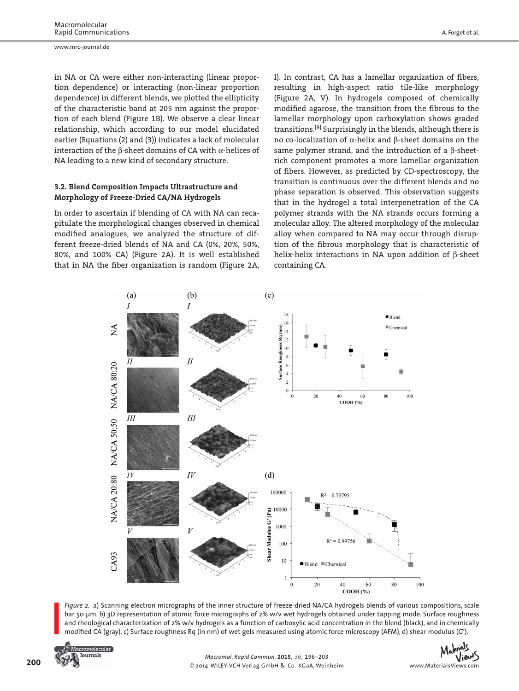in NA or CA were either non-interacting (linear proportion dependence) or interacting (non-linear proportion dependence) in different blends, we plotted the ellipticity of the characteristic band at 205 nm against the proportion of each blend (Figure 1B). We observe a clear linear relationship, which according to our model elucidated earlier (Equations (2) and (3)) indicates a lack of molecular interaction of the  $\beta$ -sheet domains of CA with  $\alpha$ -helices of NA leading to a new kind of secondary structure.

#### **3.2. Blend Composition Impacts Ultrastructure and Morphology of Freeze-Dried CA/NA Hydrogels**

 In order to ascertain if blending of CA with NA can recapitulate the morphological changes observed in chemical modified analogues, we analyzed the structure of different freeze-dried blends of NA and CA (0%, 20%, 50%, 80%, and 100% CA) (Figure 2A). It is well established that in NA the fiber organization is random (Figure 2A, I). In contrast, CA has a lamellar organization of fibers, resulting in high-aspect ratio tile-like morphology (Figure 2A, V). In hydrogels composed of chemically modified agarose, the transition from the fibrous to the lamellar morphology upon carboxylation shows graded transitions.<sup>[9]</sup> Surprisingly in the blends, although there is no co-localization of α-helix and β-sheet domains on the same polymer strand, and the introduction of a β-sheetrich component promotes a more lamellar organization of fibers. However, as predicted by CD-spectroscopy, the transition is continuous over the different blends and no phase separation is observed. This observation suggests that in the hydrogel a total interpenetration of the CA polymer strands with the NA strands occurs forming a molecular alloy. The altered morphology of the molecular alloy when compared to NA may occur through disruption of the fibrous morphology that is characteristic of helix-helix interactions in NA upon addition of β-sheet containing CA.



*Figure 2.* a) Scanning electron micrographs of the inner structure of freeze-dried NA/CA hydrogels blends of various compositions, scale bar 50 μm. b) 3D representation of atomic force micrographs of 2% w/v wet hydrogels obtained under tapping mode. Surface roughness and rheological characterization of 2% w/v hydrogels as a function of carboxylic acid concentration in the blend (black), and in chemically modified CA (gray). c) Surface roughness Rq (in nm) of wet gels measured using atomic force microscopy (AFM), d) shear modulus (G').



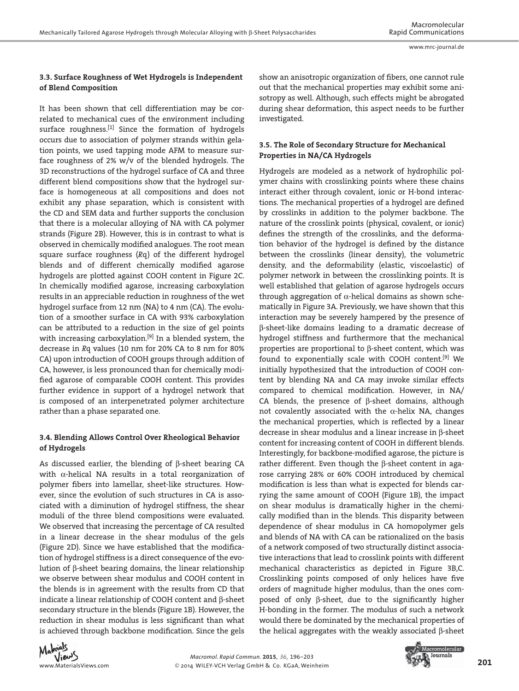#### **3.3. Surface Roughness of Wet Hydrogels is Independent of Blend Composition**

 It has been shown that cell differentiation may be correlated to mechanical cues of the environment including surface roughness. $[1]$  Since the formation of hydrogels occurs due to association of polymer strands within gelation points, we used tapping mode AFM to measure surface roughness of 2% w/v of the blended hydrogels. The 3D reconstructions of the hydrogel surface of CA and three different blend compositions show that the hydrogel surface is homogeneous at all compositions and does not exhibit any phase separation, which is consistent with the CD and SEM data and further supports the conclusion that there is a molecular alloying of NA with CA polymer strands (Figure 2B). However, this is in contrast to what is observed in chemically modified analogues. The root mean square surface roughness (Rq) of the different hydrogel blends and of different chemically modified agarose hydrogels are plotted against COOH content in Figure 2C. In chemically modified agarose, increasing carboxylation results in an appreciable reduction in roughness of the wet hydrogel surface from 12 nm (NA) to 4 nm (CA). The evolution of a smoother surface in CA with 93% carboxylation can be attributed to a reduction in the size of gel points with increasing carboxylation.<sup>[9]</sup> In a blended system, the decrease in *R*q values (10 nm for 20% CA to 8 nm for 80% CA) upon introduction of COOH groups through addition of CA, however, is less pronounced than for chemically modified agarose of comparable COOH content. This provides further evidence in support of a hydrogel network that is composed of an interpenetrated polymer architecture rather than a phase separated one.

#### **3.4. Blending Allows Control Over Rheological Behavior of Hydrogels**

 As discussed earlier, the blending of β-sheet bearing CA with α-helical NA results in a total reorganization of polymer fibers into lamellar, sheet-like structures. However, since the evolution of such structures in CA is associated with a diminution of hydrogel stiffness, the shear moduli of the three blend compositions were evaluated. We observed that increasing the percentage of CA resulted in a linear decrease in the shear modulus of the gels (Figure 2D). Since we have established that the modification of hydrogel stiffness is a direct consequence of the evolution of β-sheet bearing domains, the linear relationship we observe between shear modulus and COOH content in the blends is in agreement with the results from CD that indicate a linear relationship of COOH content and β-sheet secondary structure in the blends (Figure 1B). However, the reduction in shear modulus is less significant than what is achieved through backbone modification. Since the gels show an anisotropic organization of fibers, one cannot rule out that the mechanical properties may exhibit some anisotropy as well. Although, such effects might be abrogated during shear deformation, this aspect needs to be further investigated.

#### **3.5. The Role of Secondary Structure for Mechanical Properties in NA/CA Hydrogels**

 Hydrogels are modeled as a network of hydrophilic polymer chains with crosslinking points where these chains interact either through covalent, ionic or H-bond interactions. The mechanical properties of a hydrogel are defined by crosslinks in addition to the polymer backbone. The nature of the crosslink points (physical, covalent, or ionic) defines the strength of the crosslinks, and the deformation behavior of the hydrogel is defined by the distance between the crosslinks (linear density), the volumetric density, and the deformability (elastic, viscoelastic) of polymer network in between the crosslinking points. It is well established that gelation of agarose hydrogels occurs through aggregation of  $\alpha$ -helical domains as shown schematically in Figure 3A. Previously, we have shown that this interaction may be severely hampered by the presence of β-sheet-like domains leading to a dramatic decrease of hydrogel stiffness and furthermore that the mechanical properties are proportional to β-sheet content, which was found to exponentially scale with COOH content.<sup>[9]</sup> We initially hypothesized that the introduction of COOH content by blending NA and CA may invoke similar effects compared to chemical modification. However, in NA/ CA blends, the presence of β-sheet domains, although not covalently associated with the  $\alpha$ -helix NA, changes the mechanical properties, which is reflected by a linear decrease in shear modulus and a linear increase in β-sheet content for increasing content of COOH in different blends. Interestingly, for backbone-modified agarose, the picture is rather different. Even though the β-sheet content in agarose carrying 28% or 60% COOH introduced by chemical modification is less than what is expected for blends carrying the same amount of COOH (Figure 1B), the impact on shear modulus is dramatically higher in the chemically modified than in the blends. This disparity between dependence of shear modulus in CA homopolymer gels and blends of NA with CA can be rationalized on the basis of a network composed of two structurally distinct associative interactions that lead to crosslink points with different mechanical characteristics as depicted in Figure 3B,C. Crosslinking points composed of only helices have five orders of magnitude higher modulus, than the ones composed of only  $β$ -sheet, due to the significantly higher H-bonding in the former. The modulus of such a network would there be dominated by the mechanical properties of the helical aggregates with the weakly associated β-sheet



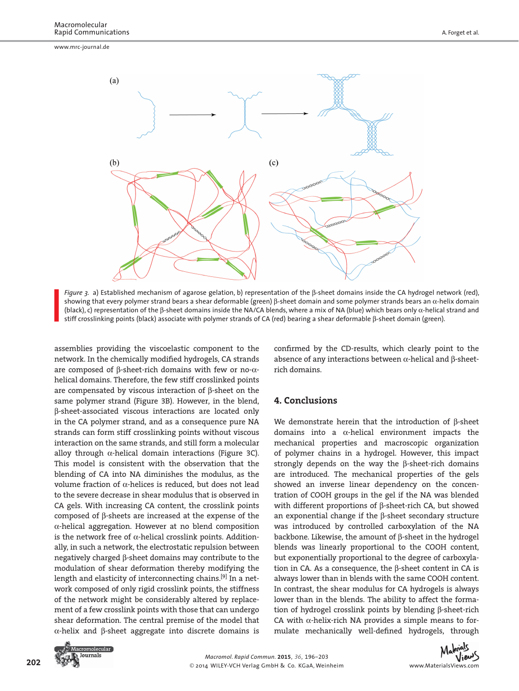www.mrc-journal.de





assemblies providing the viscoelastic component to the network. In the chemically modified hydrogels, CA strands are composed of β-sheet-rich domains with few or no-αhelical domains. Therefore, the few stiff crosslinked points are compensated by viscous interaction of β-sheet on the same polymer strand (Figure 3B). However, in the blend, β-sheet-associated viscous interactions are located only in the CA polymer strand, and as a consequence pure NA strands can form stiff crosslinking points without viscous interaction on the same strands, and still form a molecular alloy through  $\alpha$ -helical domain interactions (Figure 3C). This model is consistent with the observation that the blending of CA into NA diminishes the modulus, as the volume fraction of α-helices is reduced, but does not lead to the severe decrease in shear modulus that is observed in CA gels. With increasing CA content, the crosslink points composed of β-sheets are increased at the expense of the α-helical aggregation. However at no blend composition is the network free of  $\alpha$ -helical crosslink points. Additionally, in such a network, the electrostatic repulsion between negatively charged β-sheet domains may contribute to the modulation of shear deformation thereby modifying the length and elasticity of interconnecting chains.<sup>[9]</sup> In a network composed of only rigid crosslink points, the stiffness of the network might be considerably altered by replacement of a few crosslink points with those that can undergo shear deformation. The central premise of the model that α-helix and β-sheet aggregate into discrete domains is

confirmed by the CD-results, which clearly point to the absence of any interactions between α-helical and β-sheetrich domains.

#### **4. Conclusions**

 We demonstrate herein that the introduction of β-sheet domains into a  $\alpha$ -helical environment impacts the mechanical properties and macroscopic organization of polymer chains in a hydrogel. However, this impact strongly depends on the way the β-sheet-rich domains are introduced. The mechanical properties of the gels showed an inverse linear dependency on the concentration of COOH groups in the gel if the NA was blended with different proportions of β-sheet-rich CA, but showed an exponential change if the β-sheet secondary structure was introduced by controlled carboxylation of the NA backbone. Likewise, the amount of β-sheet in the hydrogel blends was linearly proportional to the COOH content, but exponentially proportional to the degree of carboxylation in CA. As a consequence, the β-sheet content in CA is always lower than in blends with the same COOH content. In contrast, the shear modulus for CA hydrogels is always lower than in the blends. The ability to affect the formation of hydrogel crosslink points by blending β-sheet-rich CA with  $\alpha$ -helix-rich NA provides a simple means to formulate mechanically well-defined hydrogels, through